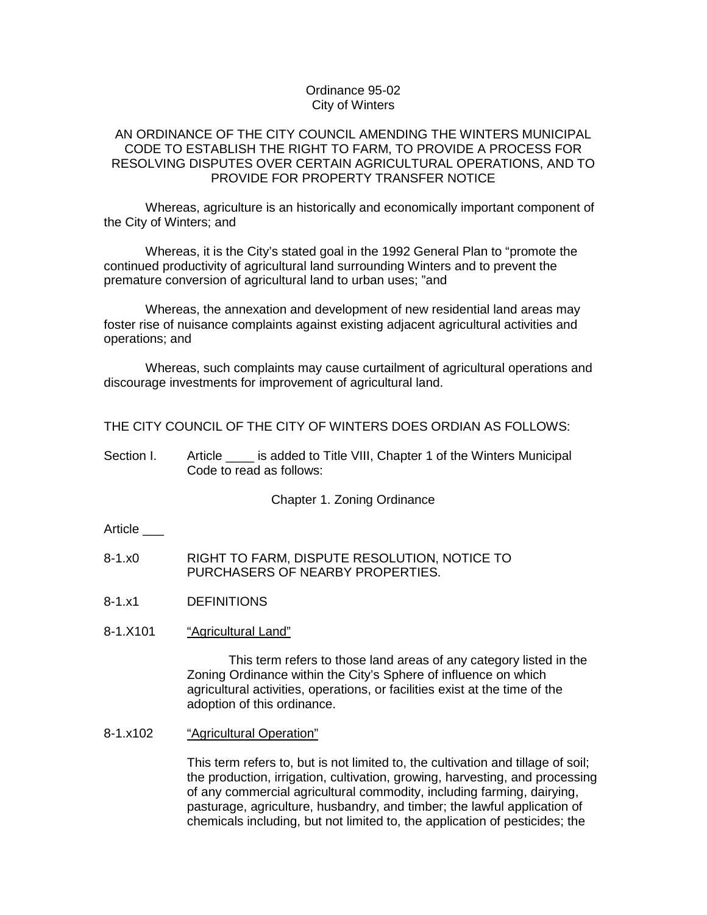### Ordinance 95-02 City of Winters

## AN ORDINANCE OF THE CITY COUNCIL AMENDING THE WINTERS MUNICIPAL CODE TO ESTABLISH THE RIGHT TO FARM, TO PROVIDE A PROCESS FOR RESOLVING DISPUTES OVER CERTAIN AGRICULTURAL OPERATIONS, AND TO PROVIDE FOR PROPERTY TRANSFER NOTICE

Whereas, agriculture is an historically and economically important component of the City of Winters; and

Whereas, it is the City's stated goal in the 1992 General Plan to "promote the continued productivity of agricultural land surrounding Winters and to prevent the premature conversion of agricultural land to urban uses; "and

Whereas, the annexation and development of new residential land areas may foster rise of nuisance complaints against existing adjacent agricultural activities and operations; and

Whereas, such complaints may cause curtailment of agricultural operations and discourage investments for improvement of agricultural land.

THE CITY COUNCIL OF THE CITY OF WINTERS DOES ORDIAN AS FOLLOWS:

Section I. Article \_\_\_\_ is added to Title VIII, Chapter 1 of the Winters Municipal Code to read as follows:

Chapter 1. Zoning Ordinance

**Article** 

- 8-1.x0 RIGHT TO FARM, DISPUTE RESOLUTION, NOTICE TO PURCHASERS OF NEARBY PROPERTIES.
- 8-1.x1 DEFINITIONS
- 8-1.X101 "Agricultural Land"

This term refers to those land areas of any category listed in the Zoning Ordinance within the City's Sphere of influence on which agricultural activities, operations, or facilities exist at the time of the adoption of this ordinance.

8-1.x102 "Agricultural Operation"

This term refers to, but is not limited to, the cultivation and tillage of soil; the production, irrigation, cultivation, growing, harvesting, and processing of any commercial agricultural commodity, including farming, dairying, pasturage, agriculture, husbandry, and timber; the lawful application of chemicals including, but not limited to, the application of pesticides; the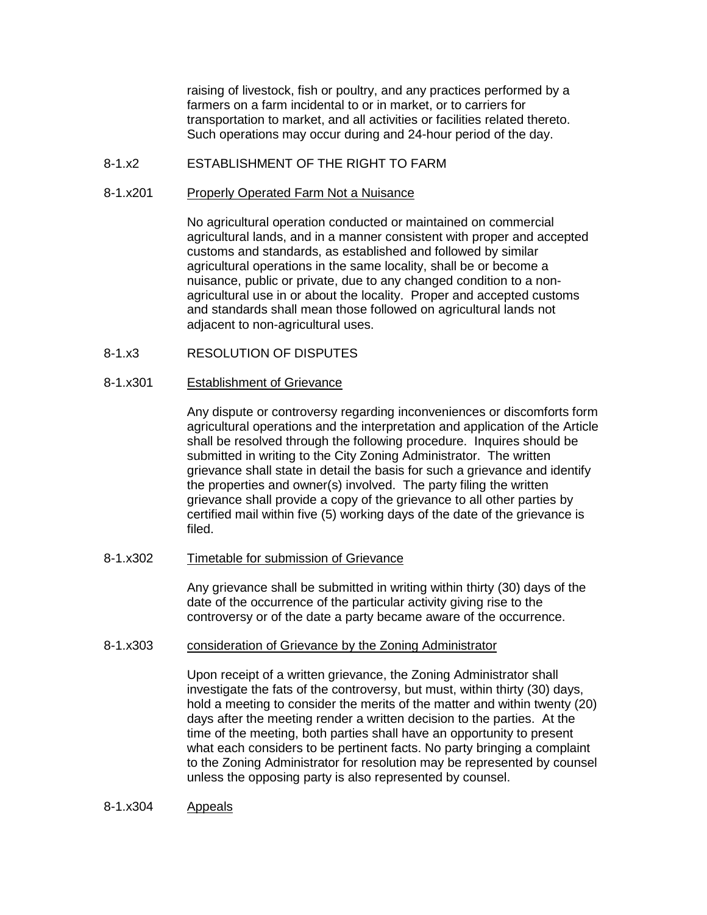raising of livestock, fish or poultry, and any practices performed by a farmers on a farm incidental to or in market, or to carriers for transportation to market, and all activities or facilities related thereto. Such operations may occur during and 24-hour period of the day.

## 8-1.x2 ESTABLISHMENT OF THE RIGHT TO FARM

#### 8-1.x201 Properly Operated Farm Not a Nuisance

No agricultural operation conducted or maintained on commercial agricultural lands, and in a manner consistent with proper and accepted customs and standards, as established and followed by similar agricultural operations in the same locality, shall be or become a nuisance, public or private, due to any changed condition to a nonagricultural use in or about the locality. Proper and accepted customs and standards shall mean those followed on agricultural lands not adjacent to non-agricultural uses.

8-1.x3 RESOLUTION OF DISPUTES

### 8-1.x301 Establishment of Grievance

Any dispute or controversy regarding inconveniences or discomforts form agricultural operations and the interpretation and application of the Article shall be resolved through the following procedure. Inquires should be submitted in writing to the City Zoning Administrator. The written grievance shall state in detail the basis for such a grievance and identify the properties and owner(s) involved. The party filing the written grievance shall provide a copy of the grievance to all other parties by certified mail within five (5) working days of the date of the grievance is filed.

### 8-1.x302 Timetable for submission of Grievance

Any grievance shall be submitted in writing within thirty (30) days of the date of the occurrence of the particular activity giving rise to the controversy or of the date a party became aware of the occurrence.

### 8-1.x303 consideration of Grievance by the Zoning Administrator

Upon receipt of a written grievance, the Zoning Administrator shall investigate the fats of the controversy, but must, within thirty (30) days, hold a meeting to consider the merits of the matter and within twenty (20) days after the meeting render a written decision to the parties. At the time of the meeting, both parties shall have an opportunity to present what each considers to be pertinent facts. No party bringing a complaint to the Zoning Administrator for resolution may be represented by counsel unless the opposing party is also represented by counsel.

### 8-1.x304 Appeals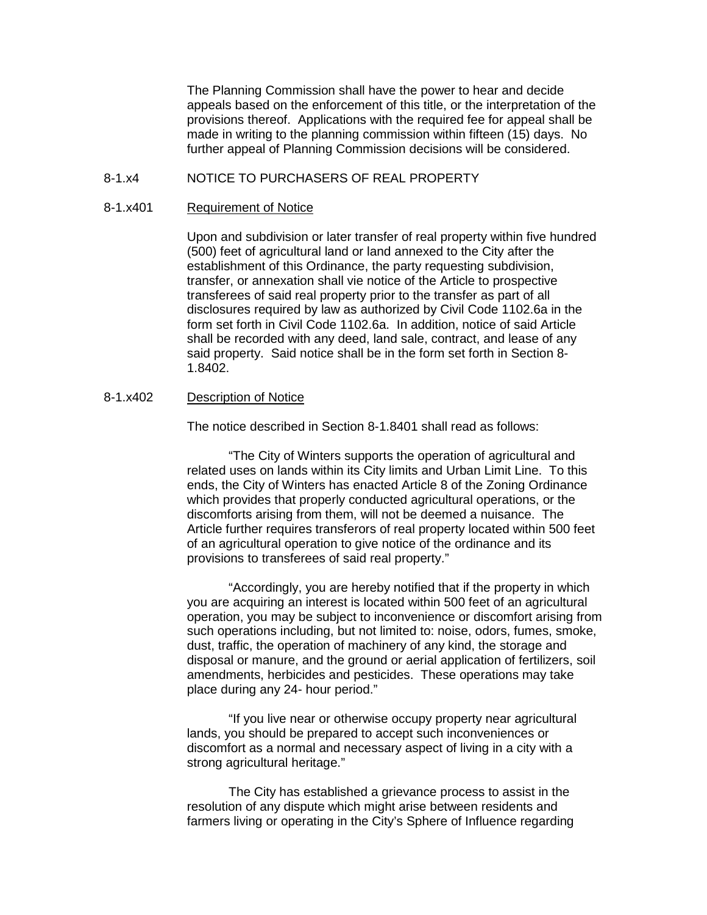The Planning Commission shall have the power to hear and decide appeals based on the enforcement of this title, or the interpretation of the provisions thereof. Applications with the required fee for appeal shall be made in writing to the planning commission within fifteen (15) days. No further appeal of Planning Commission decisions will be considered.

# 8-1.x4 NOTICE TO PURCHASERS OF REAL PROPERTY

#### 8-1.x401 Requirement of Notice

Upon and subdivision or later transfer of real property within five hundred (500) feet of agricultural land or land annexed to the City after the establishment of this Ordinance, the party requesting subdivision, transfer, or annexation shall vie notice of the Article to prospective transferees of said real property prior to the transfer as part of all disclosures required by law as authorized by Civil Code 1102.6a in the form set forth in Civil Code 1102.6a. In addition, notice of said Article shall be recorded with any deed, land sale, contract, and lease of any said property. Said notice shall be in the form set forth in Section 8- 1.8402.

### 8-1.x402 Description of Notice

The notice described in Section 8-1.8401 shall read as follows:

"The City of Winters supports the operation of agricultural and related uses on lands within its City limits and Urban Limit Line. To this ends, the City of Winters has enacted Article 8 of the Zoning Ordinance which provides that properly conducted agricultural operations, or the discomforts arising from them, will not be deemed a nuisance. The Article further requires transferors of real property located within 500 feet of an agricultural operation to give notice of the ordinance and its provisions to transferees of said real property."

"Accordingly, you are hereby notified that if the property in which you are acquiring an interest is located within 500 feet of an agricultural operation, you may be subject to inconvenience or discomfort arising from such operations including, but not limited to: noise, odors, fumes, smoke, dust, traffic, the operation of machinery of any kind, the storage and disposal or manure, and the ground or aerial application of fertilizers, soil amendments, herbicides and pesticides. These operations may take place during any 24- hour period."

"If you live near or otherwise occupy property near agricultural lands, you should be prepared to accept such inconveniences or discomfort as a normal and necessary aspect of living in a city with a strong agricultural heritage."

The City has established a grievance process to assist in the resolution of any dispute which might arise between residents and farmers living or operating in the City's Sphere of Influence regarding